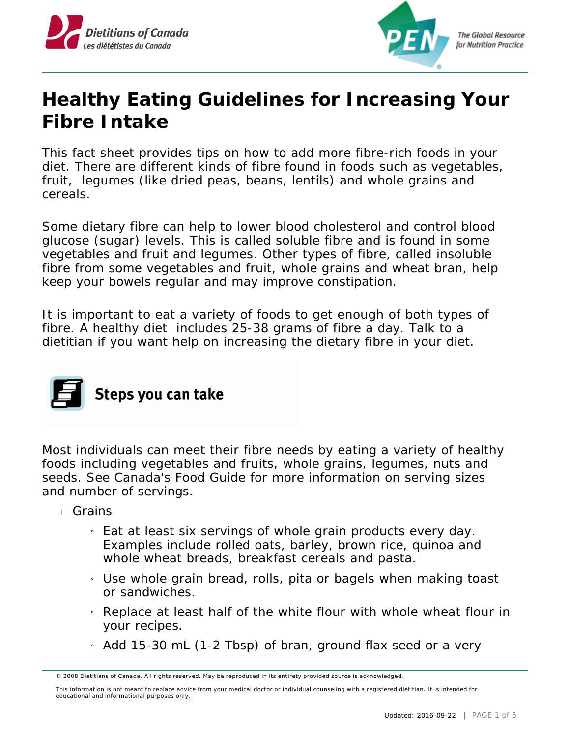



## **Healthy Eating Guidelines for Increasing Your Fibre Intake**

This fact sheet provides tips on how to add more fibre-rich foods in your diet. There are different kinds of fibre found in foods such as vegetables, fruit, legumes (like dried peas, beans, lentils) and whole grains and cereals.

Some dietary fibre can help to lower blood cholesterol and control blood glucose (sugar) levels. This is called soluble fibre and is found in some vegetables and fruit and legumes. Other types of fibre, called insoluble fibre from some vegetables and fruit, whole grains and wheat bran, help keep your bowels regular and may improve constipation.

It is important to eat a variety of foods to get enough of both types of fibre. A healthy diet includes 25-38 grams of fibre a day. Talk to a dietitian if you want help on increasing the dietary fibre in your diet.



Most individuals can meet their fibre needs by eating a variety of healthy foods including vegetables and fruits, whole grains, legumes, nuts and seeds. See Canada's Food Guide for more information on serving sizes and number of servings.

- Grains
	- » Eat at least six servings of whole grain products every day. Examples include rolled oats, barley, brown rice, quinoa and whole wheat breads, breakfast cereals and pasta.
	- » Use whole grain bread, rolls, pita or bagels when making toast or sandwiches.
	- » Replace at least half of the white flour with whole wheat flour in your recipes.
	- » Add 15-30 mL (1-2 Tbsp) of bran, ground flax seed or a very

<sup>© 2008</sup> Dietitians of Canada. All rights reserved. May be reproduced in its entirety provided source is acknowledged.

This information is not meant to replace advice from your medical doctor or individual counseling with a registered dietitian. It is intended for educational and informational purposes only.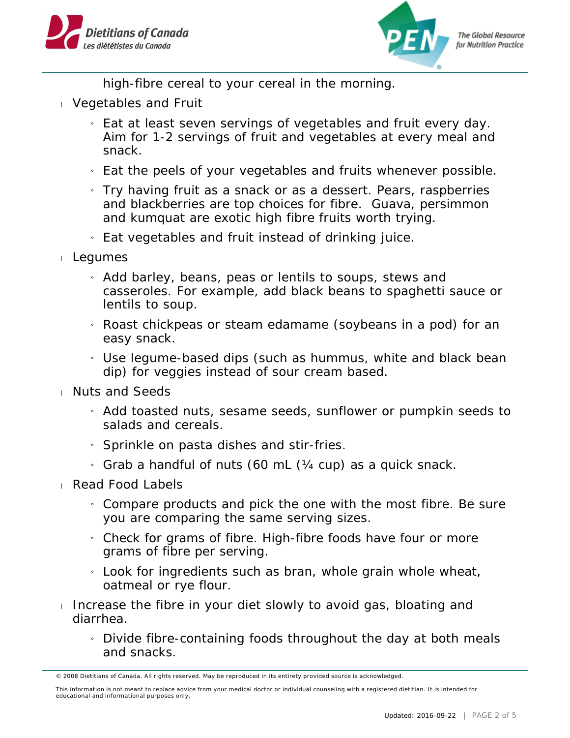



high-fibre cereal to your cereal in the morning.

- Vegetables and Fruit
	- » Eat at least seven servings of vegetables and fruit every day. Aim for 1-2 servings of fruit and vegetables at every meal and snack.
	- » Eat the peels of your vegetables and fruits whenever possible.
	- » Try having fruit as a snack or as a dessert. Pears, raspberries and blackberries are top choices for fibre. Guava, persimmon and kumquat are exotic high fibre fruits worth trying.
	- » Eat vegetables and fruit instead of drinking juice.
- Legumes
	- » Add barley, beans, peas or lentils to soups, stews and casseroles. For example, add black beans to spaghetti sauce or lentils to soup.
	- » Roast chickpeas or steam edamame (soybeans in a pod) for an easy snack.
	- » Use legume-based dips (such as hummus, white and black bean dip) for veggies instead of sour cream based.
- Nuts and Seeds
	- » Add toasted nuts, sesame seeds, sunflower or pumpkin seeds to salads and cereals.
	- $\frac{1}{1}$  Sprinkle on pasta dishes and stir-fries.
	- $_1$  Grab a handful of nuts (60 mL ( $\frac{1}{4}$  cup) as a quick snack.
- Read Food Labels
	- » Compare products and pick the one with the most fibre. Be sure you are comparing the same serving sizes.
	- » Check for grams of fibre. High-fibre foods have four or more grams of fibre per serving.
	- $_1$  Look for ingredients such as bran, whole grain whole wheat, oatmeal or rye flour.
- Increase the fibre in your diet slowly to avoid gas, bloating and diarrhea.
	- » Divide fibre-containing foods throughout the day at both meals and snacks.

<sup>© 2008</sup> Dietitians of Canada. All rights reserved. May be reproduced in its entirety provided source is acknowledged.

This information is not meant to replace advice from your medical doctor or individual counseling with a registered dietitian. It is intended for educational and informational purposes only.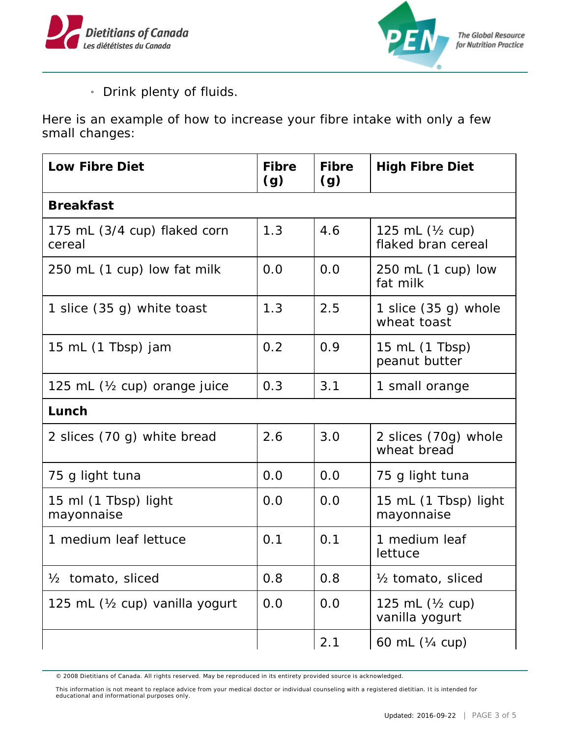



» Drink plenty of fluids.

Here is an example of how to increase your fibre intake with only a few small changes:

| Low Fibre Diet                          | Fibre<br>(g) | Fibre<br>(g) | <b>High Fibre Diet</b>                   |  |  |  |
|-----------------------------------------|--------------|--------------|------------------------------------------|--|--|--|
| <b>Breakfast</b>                        |              |              |                                          |  |  |  |
| 175 mL (3/4 cup) flaked corn<br>cereal  | 1.3          | 4.6          | 125 mL $(Y_2$ cup)<br>flaked bran cereal |  |  |  |
| 250 mL (1 cup) low fat milk             | 0.0          | 0.0          | 250 mL (1 cup) low<br>fat milk           |  |  |  |
| 1 slice (35 g) white toast              | 1.3          | 2.5          | 1 slice $(35 g)$ whole<br>wheat toast    |  |  |  |
| 15 mL (1 Tbsp) jam                      | 0.2          | 0.9          | 15 mL (1 Tbsp)<br>peanut butter          |  |  |  |
| 125 mL $(\frac{1}{2}$ cup) orange juice | 0.3          | 3.1          | 1 small orange                           |  |  |  |
| Lunch                                   |              |              |                                          |  |  |  |
| 2 slices (70 g) white bread             | 2.6          | 3.0          | 2 slices (70g) whole<br>wheat bread      |  |  |  |
| 75 g light tuna                         | 0.0          | 0.0          | 75 g light tuna                          |  |  |  |
| 15 ml (1 Tbsp) light<br>mayonnaise      | 0.0          | 0.0          | 15 mL (1 Tbsp) light<br>mayonnaise       |  |  |  |
| 1 medium leaf lettuce                   | 0.1          | 0.1          | 1 medium leaf<br>lettuce                 |  |  |  |
| tomato, sliced<br>$\frac{1}{2}$         | 0.8          | 0.8          | 1/ <sub>2</sub> tomato, sliced           |  |  |  |
| 125 mL (1/2 cup) vanilla yogurt         | 0.0          | 0.0          | 125 mL $(Y_2$ cup)<br>vanilla yogurt     |  |  |  |
|                                         |              | 2.1          | 60 mL (1/4 cup)                          |  |  |  |

© 2008 Dietitians of Canada. All rights reserved. May be reproduced in its entirety provided source is acknowledged.

This information is not meant to replace advice from your medical doctor or individual counseling with a registered dietitian. It is intended for educational and informational purposes only.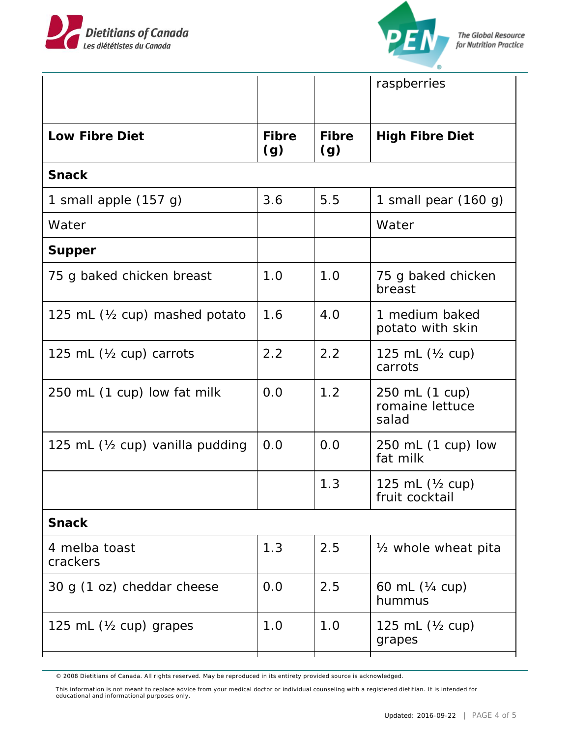



|                                          |              |              | raspberries                                  |  |  |  |
|------------------------------------------|--------------|--------------|----------------------------------------------|--|--|--|
| Low Fibre Diet                           | Fibre<br>(g) | Fibre<br>(g) | <b>High Fibre Diet</b>                       |  |  |  |
| Snack                                    |              |              |                                              |  |  |  |
| 1 small apple (157 g)                    | 3.6          | 5.5          | 1 small pear $(160 g)$                       |  |  |  |
| Water                                    |              |              | Water                                        |  |  |  |
| Supper                                   |              |              |                                              |  |  |  |
| 75 g baked chicken breast                | 1.0          | 1.0          | 75 g baked chicken<br>breast                 |  |  |  |
| 125 mL $(\frac{1}{2}$ cup) mashed potato | 1.6          | 4.0          | 1 medium baked<br>potato with skin           |  |  |  |
| 125 mL $(\frac{1}{2}$ cup) carrots       | 2.2          | 2.2          | 125 mL $(Y_2$ cup)<br>carrots                |  |  |  |
| 250 mL (1 cup) low fat milk              | 0.0          | 1.2          | 250 mL (1 cup)<br>romaine lettuce<br>salad   |  |  |  |
| 125 mL (1/2 cup) vanilla pudding         | 0.0          | 0.0          | 250 mL (1 cup) low<br>fat milk               |  |  |  |
|                                          |              | 1.3          | 125 mL $(\frac{1}{2}$ cup)<br>fruit cocktail |  |  |  |
| Snack                                    |              |              |                                              |  |  |  |
| 4 melba toast<br>crackers                | 1.3          | 2.5          | 1/ <sub>2</sub> whole wheat pita             |  |  |  |
| 30 g (1 oz) cheddar cheese               | 0.0          | 2.5          | 60 mL (¼ cup)<br>hummus                      |  |  |  |
| 125 mL $(\frac{1}{2}$ cup) grapes        | 1.0          | 1.0          | 125 mL $(Y_2$ cup)<br>grapes                 |  |  |  |
|                                          |              |              |                                              |  |  |  |

© 2008 Dietitians of Canada. All rights reserved. May be reproduced in its entirety provided source is acknowledged.

This information is not meant to replace advice from your medical doctor or individual counseling with a registered dietitian. It is intended for educational and informational purposes only.